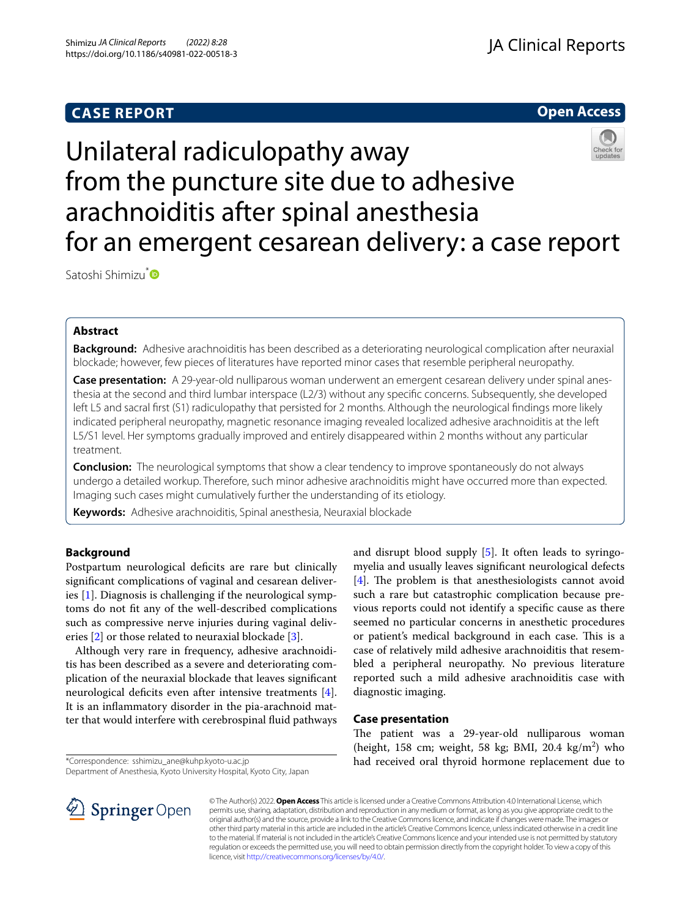## **CASE REPORT**



# Unilateral radiculopathy away from the puncture site due to adhesive arachnoiditis after spinal anesthesia for an emergent cesarean delivery: a case report

Satoshi Shimizu<sup>[\\*](http://orcid.org/0000-0002-7270-0781)</sup>

## **Abstract**

**Background:** Adhesive arachnoiditis has been described as a deteriorating neurological complication after neuraxial blockade; however, few pieces of literatures have reported minor cases that resemble peripheral neuropathy.

**Case presentation:** A 29-year-old nulliparous woman underwent an emergent cesarean delivery under spinal anesthesia at the second and third lumbar interspace (L2/3) without any specifc concerns. Subsequently, she developed left L5 and sacral frst (S1) radiculopathy that persisted for 2 months. Although the neurological fndings more likely indicated peripheral neuropathy, magnetic resonance imaging revealed localized adhesive arachnoiditis at the left L5/S1 level. Her symptoms gradually improved and entirely disappeared within 2 months without any particular treatment.

**Conclusion:** The neurological symptoms that show a clear tendency to improve spontaneously do not always undergo a detailed workup. Therefore, such minor adhesive arachnoiditis might have occurred more than expected. Imaging such cases might cumulatively further the understanding of its etiology.

**Keywords:** Adhesive arachnoiditis, Spinal anesthesia, Neuraxial blockade

## **Background**

Postpartum neurological deficits are rare but clinically signifcant complications of vaginal and cesarean deliveries [\[1](#page-3-0)]. Diagnosis is challenging if the neurological symptoms do not ft any of the well-described complications such as compressive nerve injuries during vaginal deliv-eries [\[2](#page-3-1)] or those related to neuraxial blockade [[3\]](#page-3-2).

Although very rare in frequency, adhesive arachnoiditis has been described as a severe and deteriorating complication of the neuraxial blockade that leaves signifcant neurological deficits even after intensive treatments [\[4](#page-3-3)]. It is an infammatory disorder in the pia-arachnoid matter that would interfere with cerebrospinal fuid pathways

myelia and usually leaves signifcant neurological defects  $[4]$  $[4]$ . The problem is that anesthesiologists cannot avoid such a rare but catastrophic complication because previous reports could not identify a specifc cause as there seemed no particular concerns in anesthetic procedures or patient's medical background in each case. This is a case of relatively mild adhesive arachnoiditis that resembled a peripheral neuropathy. No previous literature reported such a mild adhesive arachnoiditis case with diagnostic imaging.

The patient was a 29-year-old nulliparous woman (height, 158 cm; weight, 58 kg; BMI, 20.4 kg/m<sup>2</sup>) who had received oral thyroid hormone replacement due to

and disrupt blood supply [\[5](#page-3-4)]. It often leads to syringo-

## **Case presentation**

\*Correspondence: sshimizu\_ane@kuhp.kyoto-u.ac.jp

Department of Anesthesia, Kyoto University Hospital, Kyoto City, Japan



© The Author(s) 2022. **Open Access** This article is licensed under a Creative Commons Attribution 4.0 International License, which permits use, sharing, adaptation, distribution and reproduction in any medium or format, as long as you give appropriate credit to the original author(s) and the source, provide a link to the Creative Commons licence, and indicate if changes were made. The images or other third party material in this article are included in the article's Creative Commons licence, unless indicated otherwise in a credit line to the material. If material is not included in the article's Creative Commons licence and your intended use is not permitted by statutory regulation or exceeds the permitted use, you will need to obtain permission directly from the copyright holder. To view a copy of this licence, visit [http://creativecommons.org/licenses/by/4.0/.](http://creativecommons.org/licenses/by/4.0/)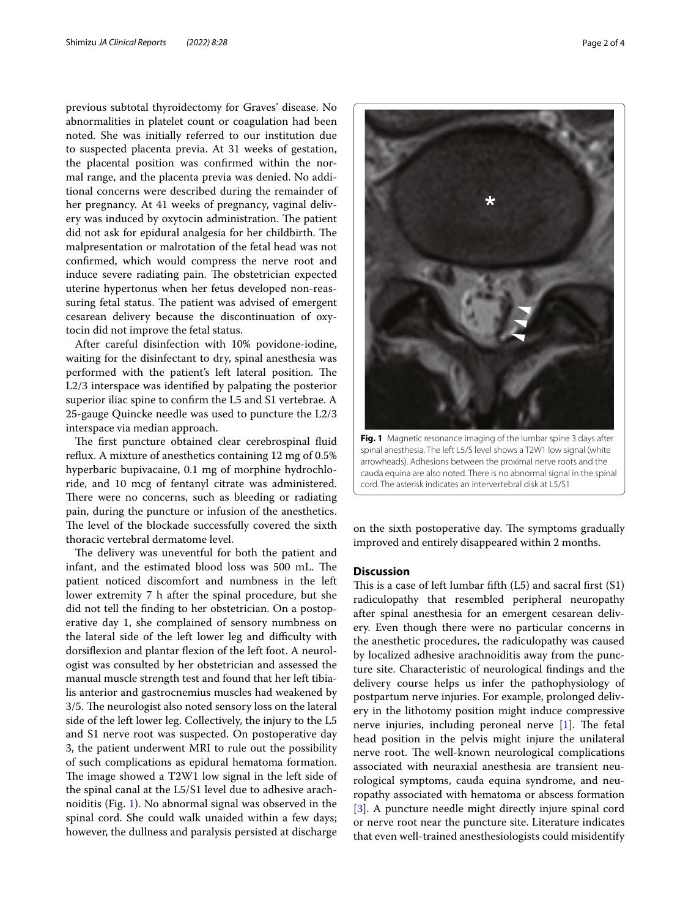previous subtotal thyroidectomy for Graves' disease. No abnormalities in platelet count or coagulation had been noted. She was initially referred to our institution due to suspected placenta previa. At 31 weeks of gestation, the placental position was confrmed within the normal range, and the placenta previa was denied. No additional concerns were described during the remainder of her pregnancy. At 41 weeks of pregnancy, vaginal delivery was induced by oxytocin administration. The patient did not ask for epidural analgesia for her childbirth. The malpresentation or malrotation of the fetal head was not confrmed, which would compress the nerve root and induce severe radiating pain. The obstetrician expected uterine hypertonus when her fetus developed non-reassuring fetal status. The patient was advised of emergent cesarean delivery because the discontinuation of oxytocin did not improve the fetal status.

After careful disinfection with 10% povidone-iodine, waiting for the disinfectant to dry, spinal anesthesia was performed with the patient's left lateral position. The L2/3 interspace was identifed by palpating the posterior superior iliac spine to confrm the L5 and S1 vertebrae. A 25-gauge Quincke needle was used to puncture the L2/3 interspace via median approach.

The first puncture obtained clear cerebrospinal fluid refux. A mixture of anesthetics containing 12 mg of 0.5% hyperbaric bupivacaine, 0.1 mg of morphine hydrochloride, and 10 mcg of fentanyl citrate was administered. There were no concerns, such as bleeding or radiating pain, during the puncture or infusion of the anesthetics. The level of the blockade successfully covered the sixth thoracic vertebral dermatome level.

The delivery was uneventful for both the patient and infant, and the estimated blood loss was 500 mL. The patient noticed discomfort and numbness in the left lower extremity 7 h after the spinal procedure, but she did not tell the fnding to her obstetrician. On a postoperative day 1, she complained of sensory numbness on the lateral side of the left lower leg and difficulty with dorsifexion and plantar fexion of the left foot. A neurologist was consulted by her obstetrician and assessed the manual muscle strength test and found that her left tibialis anterior and gastrocnemius muscles had weakened by 3/5. The neurologist also noted sensory loss on the lateral side of the left lower leg. Collectively, the injury to the L5 and S1 nerve root was suspected. On postoperative day 3, the patient underwent MRI to rule out the possibility of such complications as epidural hematoma formation. The image showed a  $T2W1$  low signal in the left side of the spinal canal at the L5/S1 level due to adhesive arachnoiditis (Fig. [1](#page-1-0)). No abnormal signal was observed in the spinal cord. She could walk unaided within a few days; however, the dullness and paralysis persisted at discharge



spinal anesthesia. The left L5/S level shows a T2W1 low signal (white arrowheads). Adhesions between the proximal nerve roots and the cauda equina are also noted. There is no abnormal signal in the spinal cord. The asterisk indicates an intervertebral disk at L5/S1

<span id="page-1-0"></span>on the sixth postoperative day. The symptoms gradually improved and entirely disappeared within 2 months.

## **Discussion**

This is a case of left lumbar fifth  $(L5)$  and sacral first  $(S1)$ radiculopathy that resembled peripheral neuropathy after spinal anesthesia for an emergent cesarean delivery. Even though there were no particular concerns in the anesthetic procedures, the radiculopathy was caused by localized adhesive arachnoiditis away from the puncture site. Characteristic of neurological fndings and the delivery course helps us infer the pathophysiology of postpartum nerve injuries. For example, prolonged delivery in the lithotomy position might induce compressive nerve injuries, including peroneal nerve  $[1]$  $[1]$ . The fetal head position in the pelvis might injure the unilateral nerve root. The well-known neurological complications associated with neuraxial anesthesia are transient neurological symptoms, cauda equina syndrome, and neuropathy associated with hematoma or abscess formation [[3\]](#page-3-2). A puncture needle might directly injure spinal cord or nerve root near the puncture site. Literature indicates that even well-trained anesthesiologists could misidentify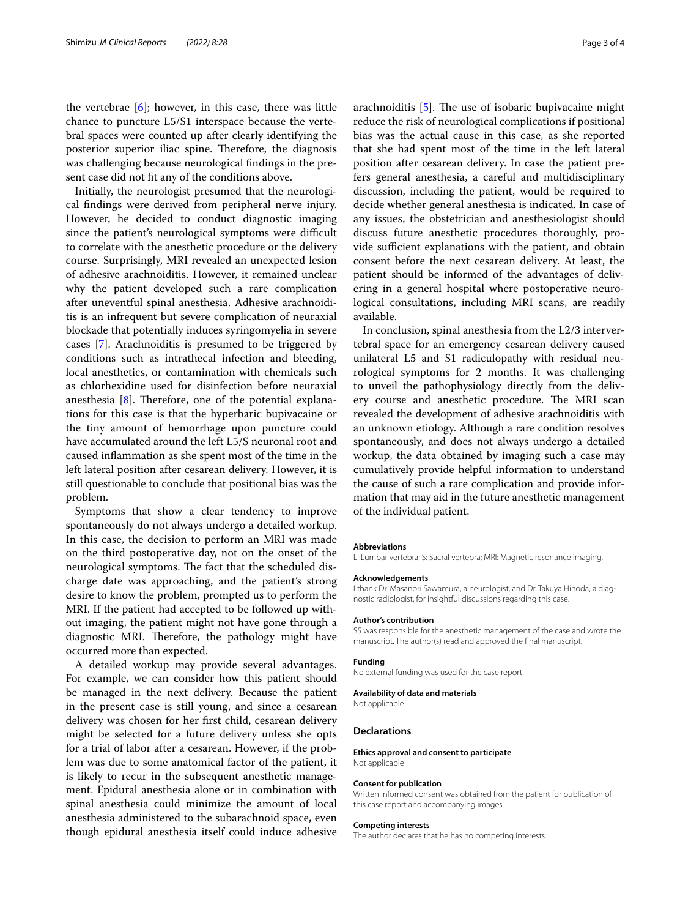the vertebrae  $[6]$  $[6]$ ; however, in this case, there was little chance to puncture L5/S1 interspace because the vertebral spaces were counted up after clearly identifying the posterior superior iliac spine. Therefore, the diagnosis was challenging because neurological fndings in the present case did not ft any of the conditions above.

Initially, the neurologist presumed that the neurological fndings were derived from peripheral nerve injury. However, he decided to conduct diagnostic imaging since the patient's neurological symptoms were difficult to correlate with the anesthetic procedure or the delivery course. Surprisingly, MRI revealed an unexpected lesion of adhesive arachnoiditis. However, it remained unclear why the patient developed such a rare complication after uneventful spinal anesthesia. Adhesive arachnoiditis is an infrequent but severe complication of neuraxial blockade that potentially induces syringomyelia in severe cases [\[7\]](#page-3-6). Arachnoiditis is presumed to be triggered by conditions such as intrathecal infection and bleeding, local anesthetics, or contamination with chemicals such as chlorhexidine used for disinfection before neuraxial anesthesia  $[8]$  $[8]$ . Therefore, one of the potential explanations for this case is that the hyperbaric bupivacaine or the tiny amount of hemorrhage upon puncture could have accumulated around the left L5/S neuronal root and caused infammation as she spent most of the time in the left lateral position after cesarean delivery. However, it is still questionable to conclude that positional bias was the problem.

Symptoms that show a clear tendency to improve spontaneously do not always undergo a detailed workup. In this case, the decision to perform an MRI was made on the third postoperative day, not on the onset of the neurological symptoms. The fact that the scheduled discharge date was approaching, and the patient's strong desire to know the problem, prompted us to perform the MRI. If the patient had accepted to be followed up without imaging, the patient might not have gone through a diagnostic MRI. Therefore, the pathology might have occurred more than expected.

A detailed workup may provide several advantages. For example, we can consider how this patient should be managed in the next delivery. Because the patient in the present case is still young, and since a cesarean delivery was chosen for her frst child, cesarean delivery might be selected for a future delivery unless she opts for a trial of labor after a cesarean. However, if the problem was due to some anatomical factor of the patient, it is likely to recur in the subsequent anesthetic management. Epidural anesthesia alone or in combination with spinal anesthesia could minimize the amount of local anesthesia administered to the subarachnoid space, even though epidural anesthesia itself could induce adhesive arachnoiditis  $[5]$  $[5]$ . The use of isobaric bupivacaine might reduce the risk of neurological complications if positional bias was the actual cause in this case, as she reported that she had spent most of the time in the left lateral position after cesarean delivery. In case the patient prefers general anesthesia, a careful and multidisciplinary discussion, including the patient, would be required to decide whether general anesthesia is indicated. In case of any issues, the obstetrician and anesthesiologist should discuss future anesthetic procedures thoroughly, provide sufficient explanations with the patient, and obtain consent before the next cesarean delivery. At least, the patient should be informed of the advantages of delivering in a general hospital where postoperative neurological consultations, including MRI scans, are readily available.

In conclusion, spinal anesthesia from the L2/3 intervertebral space for an emergency cesarean delivery caused unilateral L5 and S1 radiculopathy with residual neurological symptoms for 2 months. It was challenging to unveil the pathophysiology directly from the delivery course and anesthetic procedure. The MRI scan revealed the development of adhesive arachnoiditis with an unknown etiology. Although a rare condition resolves spontaneously, and does not always undergo a detailed workup, the data obtained by imaging such a case may cumulatively provide helpful information to understand the cause of such a rare complication and provide information that may aid in the future anesthetic management of the individual patient.

#### **Abbreviations**

L: Lumbar vertebra; S: Sacral vertebra; MRI: Magnetic resonance imaging.

#### **Acknowledgements**

I thank Dr. Masanori Sawamura, a neurologist, and Dr. Takuya Hinoda, a diagnostic radiologist, for insightful discussions regarding this case.

#### **Author's contribution**

SS was responsible for the anesthetic management of the case and wrote the manuscript. The author(s) read and approved the fnal manuscript.

#### **Funding**

No external funding was used for the case report.

#### **Availability of data and materials**

Not applicable

#### **Declarations**

**Ethics approval and consent to participate** Not applicable

#### **Consent for publication**

Written informed consent was obtained from the patient for publication of this case report and accompanying images.

#### **Competing interests**

The author declares that he has no competing interests.